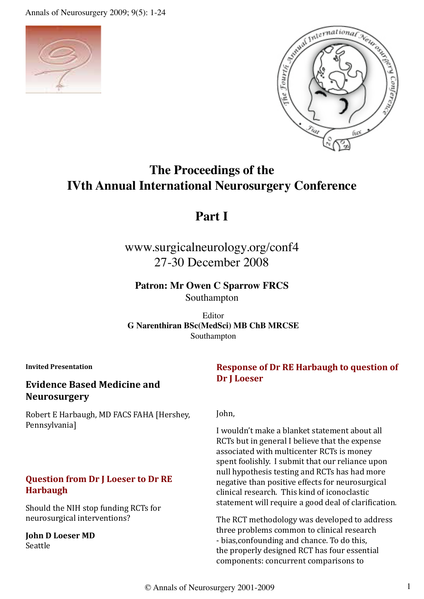Annals of Neurosurgery 2009; 9(5): 1-24





# **The Proceedings of the IVth Annual International Neurosurgery Conference**

# **Part I**

# www.surgicalneurology.org/conf4 27-30 December 2008

**Patron: Mr Owen C Sparrow FRCS**

Southampton

Editor **G Narenthiran BSc(MedSci) MB ChB MRCSE** Southampton

**Invited Presentation**

# **Evidence Based Medicine and Neurosurgery**

Robert E Harbaugh, MD FACS FAHA [Hershey, Pennsylvania]

### **Question from Dr J Loeser to Dr RE Harbaugh**

Should the NIH stop funding RCTs for neurosurgical interventions?

**John D Loeser MD** Seattle

### **Response of Dr RE Harbaugh to question of Dr J Loeser**

John,

I wouldn't make a blanket statement about all RCTs but in general I believe that the expense associated with multicenter RCTs is money spent foolishly. I submit that our reliance upon null hypothesis testing and RCTs has had more negative than positive effects for neurosurgical clinical research. This kind of iconoclastic statement will require a good deal of clarification.

The RCT methodology was developed to address three problems common to clinical research - bias,confounding and chance. To do this, the properly designed RCT has four essential components: concurrent comparisons to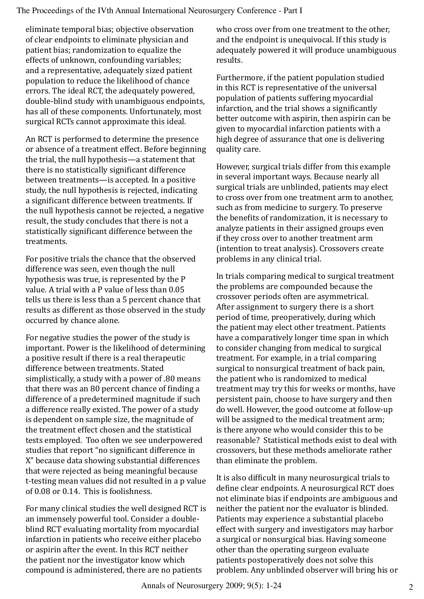eliminate temporal bias; objective observation of clear endpoints to eliminate physician and patient bias; randomization to equalize the effects of unknown, confounding variables; and a representative, adequately sized patient population to reduce the likelihood of chance errors. The ideal RCT, the adequately powered, double-blind study with unambiguous endpoints, has all of these components. Unfortunately, most surgical RCTs cannot approximate this ideal.

An RCT is performed to determine the presence or absence of a treatment effect. Before beginning the trial, the null hypothesis—a statement that there is no statistically significant difference between treatments—is accepted. In a positive study, the null hypothesis is rejected, indicating a significant difference between treatments. If the null hypothesis cannot be rejected, a negative result, the study concludes that there is not a statistically significant difference between the treatments.

For positive trials the chance that the observed difference was seen, even though the null hypothesis was true, is represented by the P value. A trial with a P value of less than 0.05 tells us there is less than a 5 percent chance that results as different as those observed in the study occurred by chance alone.

For negative studies the power of the study is important. Power is the likelihood of determining a positive result if there is a real therapeutic difference between treatments. Stated simplistically, a study with a power of .80 means that there was an 80 percent chance of finding a difference of a predetermined magnitude if such a difference really existed. The power of a study is dependent on sample size, the magnitude of the treatment effect chosen and the statistical tests employed. Too often we see underpowered studies that report "no significant difference in X" because data showing substantial differences that were rejected as being meaningful because t-testing mean values did not resulted in a p value of 0.08 or 0.14. This is foolishness.

For many clinical studies the well designed RCT is an immensely powerful tool. Consider a doubleblind RCT evaluating mortality from myocardial infarction in patients who receive either placebo or aspirin after the event. In this RCT neither the patient nor the investigator know which compound is administered, there are no patients

who cross over from one treatment to the other, and the endpoint is unequivocal. If this study is adequately powered it will produce unambiguous results.

Furthermore, if the patient population studied in this RCT is representative of the universal population of patients suffering myocardial infarction, and the trial shows a significantly better outcome with aspirin, then aspirin can be given to myocardial infarction patients with a high degree of assurance that one is delivering quality care.

However, surgical trials differ from this example in several important ways. Because nearly all surgical trials are unblinded, patients may elect to cross over from one treatment arm to another, such as from medicine to surgery. To preserve the benefits of randomization, it is necessary to analyze patients in their assigned groups even if they cross over to another treatment arm (intention to treat analysis). Crossovers create problems in any clinical trial.

In trials comparing medical to surgical treatment the problems are compounded because the crossover periods often are asymmetrical. After assignment to surgery there is a short period of time, preoperatively, during which the patient may elect other treatment. Patients have a comparatively longer time span in which to consider changing from medical to surgical treatment. For example, in a trial comparing surgical to nonsurgical treatment of back pain, the patient who is randomized to medical treatment may try this for weeks or months, have persistent pain, choose to have surgery and then do well. However, the good outcome at follow-up will be assigned to the medical treatment arm; is there anyone who would consider this to be reasonable? Statistical methods exist to deal with crossovers, but these methods ameliorate rather than eliminate the problem.

It is also difficult in many neurosurgical trials to define clear endpoints. A neurosurgical RCT does not eliminate bias if endpoints are ambiguous and neither the patient nor the evaluator is blinded. Patients may experience a substantial placebo effect with surgery and investigators may harbor a surgical or nonsurgical bias. Having someone other than the operating surgeon evaluate patients postoperatively does not solve this problem. Any unblinded observer will bring his or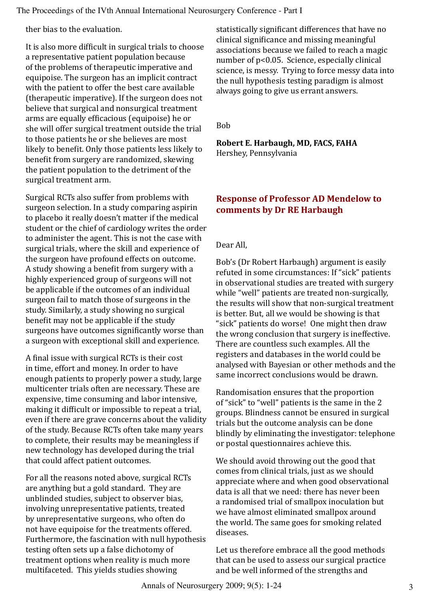ther bias to the evaluation.

It is also more difficult in surgical trials to choose a representative patient population because of the problems of therapeutic imperative and equipoise. The surgeon has an implicit contract with the patient to offer the best care available (therapeutic imperative). If the surgeon does not believe that surgical and nonsurgical treatment arms are equally efficacious (equipoise) he or she will offer surgical treatment outside the trial to those patients he or she believes are most likely to benefit. Only those patients less likely to benefit from surgery are randomized, skewing the patient population to the detriment of the surgical treatment arm.

Surgical RCTs also suffer from problems with surgeon selection. In a study comparing aspirin to placebo it really doesn't matter if the medical student or the chief of cardiology writes the order to administer the agent. This is not the case with surgical trials, where the skill and experience of the surgeon have profound effects on outcome. A study showing a benefit from surgery with a highly experienced group of surgeons will not be applicable if the outcomes of an individual surgeon fail to match those of surgeons in the study. Similarly, a study showing no surgical benefit may not be applicable if the study surgeons have outcomes significantly worse than a surgeon with exceptional skill and experience.

A final issue with surgical RCTs is their cost in time, effort and money. In order to have enough patients to properly power a study, large multicenter trials often are necessary. These are expensive, time consuming and labor intensive, making it difficult or impossible to repeat a trial, even if there are grave concerns about the validity of the study. Because RCTs often take many years to complete, their results may be meaningless if new technology has developed during the trial that could affect patient outcomes.

For all the reasons noted above, surgical RCTs are anything but a gold standard. They are unblinded studies, subject to observer bias, involving unrepresentative patients, treated by unrepresentative surgeons, who often do not have equipoise for the treatments offered. Furthermore, the fascination with null hypothesis testing often sets up a false dichotomy of treatment options when reality is much more multifaceted. This yields studies showing

statistically significant differences that have no clinical significance and missing meaningful associations because we failed to reach a magic number of p<0.05. Science, especially clinical science, is messy. Trying to force messy data into the null hypothesis testing paradigm is almost always going to give us errant answers.

Bob

**Robert E. Harbaugh, MD, FACS, FAHA** Hershey, Pennsylvania

# **Response of Professor AD Mendelow to comments by Dr RE Harbaugh**

Dear All,

Bob's (Dr Robert Harbaugh) argument is easily refuted in some circumstances: If "sick" patients in observational studies are treated with surgery while "well" patients are treated non-surgically, the results will show that non-surgical treatment is better. But, all we would be showing is that "sick" patients do worse! One might then draw the wrong conclusion that surgery is ineffective. There are countless such examples. All the registers and databases in the world could be analysed with Bayesian or other methods and the same incorrect conclusions would be drawn.

Randomisation ensures that the proportion of "sick" to "well" patients is the same in the 2 groups. Blindness cannot be ensured in surgical trials but the outcome analysis can be done blindly by eliminating the investigator: telephone or postal questionnaires achieve this.

We should avoid throwing out the good that comes from clinical trials, just as we should appreciate where and when good observational data is all that we need: there has never been a randomised trial of smallpox inoculation but we have almost eliminated smallpox around the world. The same goes for smoking related diseases.

Let us therefore embrace all the good methods that can be used to assess our surgical practice and be well informed of the strengths and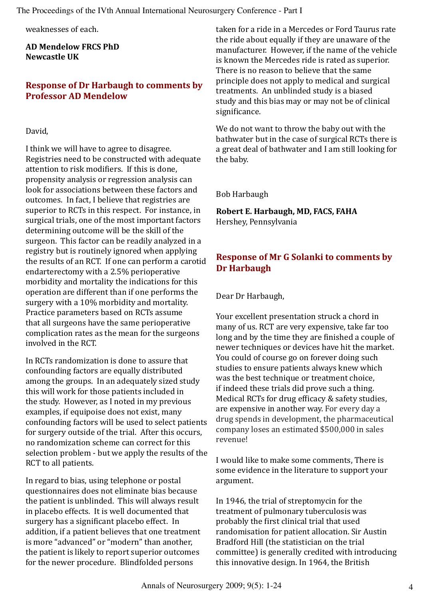weaknesses of each.

**AD Mendelow FRCS PhD Newcastle UK**

### **Response of Dr Harbaugh to comments by Professor AD Mendelow**

#### David,

I think we will have to agree to disagree. Registries need to be constructed with adequate attention to risk modifiers. If this is done, propensity analysis or regression analysis can look for associations between these factors and outcomes. In fact, I believe that registries are superior to RCTs in this respect. For instance, in surgical trials, one of the most important factors determining outcome will be the skill of the surgeon. This factor can be readily analyzed in a registry but is routinely ignored when applying the results of an RCT. If one can perform a carotid endarterectomy with a 2.5% perioperative morbidity and mortality the indications for this operation are different than if one performs the surgery with a 10% morbidity and mortality. Practice parameters based on RCTs assume that all surgeons have the same perioperative complication rates as the mean for the surgeons involved in the RCT.

In RCTs randomization is done to assure that confounding factors are equally distributed among the groups. In an adequately sized study this will work for those patients included in the study. However, as I noted in my previous examples, if equipoise does not exist, many confounding factors will be used to select patients for surgery outside of the trial. After this occurs, no randomization scheme can correct for this selection problem - but we apply the results of the RCT to all patients.

In regard to bias, using telephone or postal questionnaires does not eliminate bias because the patient is unblinded. This will always result in placebo effects. It is well documented that surgery has a significant placebo effect. In addition, if a patient believes that one treatment is more "advanced" or "modern" than another, the patient is likely to report superior outcomes for the newer procedure. Blindfolded persons

taken for a ride in a Mercedes or Ford Taurus rate the ride about equally if they are unaware of the manufacturer. However, if the name of the vehicle is known the Mercedes ride is rated as superior. There is no reason to believe that the same principle does not apply to medical and surgical treatments. An unblinded study is a biased study and this bias may or may not be of clinical significance.

We do not want to throw the baby out with the bathwater but in the case of surgical RCTs there is a great deal of bathwater and I am still looking for the baby.

Bob Harbaugh

**Robert E. Harbaugh, MD, FACS, FAHA** Hershey, Pennsylvania

# **Response of Mr G Solanki to comments by Dr Harbaugh**

Dear Dr Harbaugh,

Your excellent presentation struck a chord in many of us. RCT are very expensive, take far too long and by the time they are finished a couple of newer techniques or devices have hit the market. You could of course go on forever doing such studies to ensure patients always knew which was the best technique or treatment choice, if indeed these trials did prove such a thing. Medical RCTs for drug efficacy & safety studies, are expensive in another way. For every day a drug spends in development, the pharmaceutical company loses an estimated \$500,000 in sales revenue!

I would like to make some comments, There is some evidence in the literature to support your argument.

In 1946, the trial of streptomycin for the treatment of pulmonary tuberculosis was probably the first clinical trial that used randomisation for patient allocation. Sir Austin Bradford Hill (the statistician on the trial committee) is generally credited with introducing this innovative design. In 1964, the British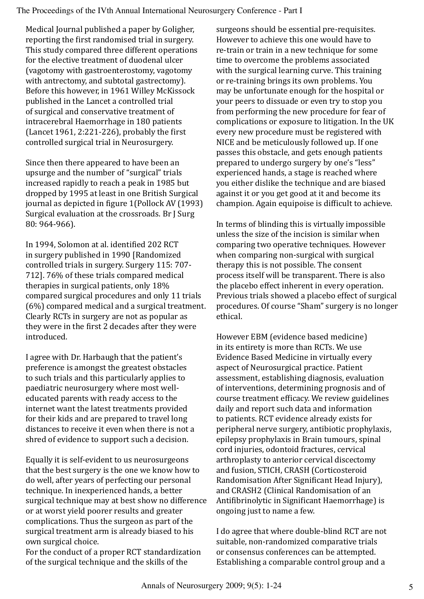Medical Journal published a paper by Goligher, reporting the first randomised trial in surgery. This study compared three different operations for the elective treatment of duodenal ulcer (vagotomy with gastroenterostomy, vagotomy with antrectomy, and subtotal gastrectomy). Before this however, in 1961 Willey McKissock published in the Lancet a controlled trial of surgical and conservative treatment of intracerebral Haemorrhage in 180 patients (Lancet 1961, 2:221-226), probably the first controlled surgical trial in Neurosurgery.

Since then there appeared to have been an upsurge and the number of "surgical" trials increased rapidly to reach a peak in 1985 but dropped by 1995 at least in one British Surgical journal as depicted in figure 1(Pollock AV (1993) Surgical evaluation at the crossroads. Br J Surg 80: 964-966).

In 1994, Solomon at al. identified 202 RCT in surgery published in 1990 [Randomized controlled trials in surgery. Surgery 115: 707- 712]. 76% of these trials compared medical therapies in surgical patients, only 18% compared surgical procedures and only 11 trials (6%) compared medical and a surgical treatment. Clearly RCTs in surgery are not as popular as they were in the first 2 decades after they were introduced.

I agree with Dr. Harbaugh that the patient's preference is amongst the greatest obstacles to such trials and this particularly applies to paediatric neurosurgery where most welleducated parents with ready access to the internet want the latest treatments provided for their kids and are prepared to travel long distances to receive it even when there is not a shred of evidence to support such a decision.

Equally it is self-evident to us neurosurgeons that the best surgery is the one we know how to do well, after years of perfecting our personal technique. In inexperienced hands, a better surgical technique may at best show no difference or at worst yield poorer results and greater complications. Thus the surgeon as part of the surgical treatment arm is already biased to his own surgical choice.

For the conduct of a proper RCT standardization of the surgical technique and the skills of the

surgeons should be essential pre-requisites. However to achieve this one would have to re-train or train in a new technique for some time to overcome the problems associated with the surgical learning curve. This training or re-training brings its own problems. You may be unfortunate enough for the hospital or your peers to dissuade or even try to stop you from performing the new procedure for fear of complications or exposure to litigation. In the UK every new procedure must be registered with NICE and be meticulously followed up. If one passes this obstacle, and gets enough patients prepared to undergo surgery by one's "less" experienced hands, a stage is reached where you either dislike the technique and are biased against it or you get good at it and become its champion. Again equipoise is difficult to achieve.

In terms of blinding this is virtually impossible unless the size of the incision is similar when comparing two operative techniques. However when comparing non-surgical with surgical therapy this is not possible. The consent process itself will be transparent. There is also the placebo effect inherent in every operation. Previous trials showed a placebo effect of surgical procedures. Of course "Sham" surgery is no longer ethical.

However EBM (evidence based medicine) in its entirety is more than RCTs. We use Evidence Based Medicine in virtually every aspect of Neurosurgical practice. Patient assessment, establishing diagnosis, evaluation of interventions, determining prognosis and of course treatment efficacy. We review guidelines daily and report such data and information to patients. RCT evidence already exists for peripheral nerve surgery, antibiotic prophylaxis, epilepsy prophylaxis in Brain tumours, spinal cord injuries, odontoid fractures, cervical arthroplasty to anterior cervical discectomy and fusion, STICH, CRASH (Corticosteroid Randomisation After Significant Head Injury), and CRASH2 (Clinical Randomisation of an Antifibrinolytic in Significant Haemorrhage) is ongoing just to name a few.

I do agree that where double-blind RCT are not suitable, non-randomized comparative trials or consensus conferences can be attempted. Establishing a comparable control group and a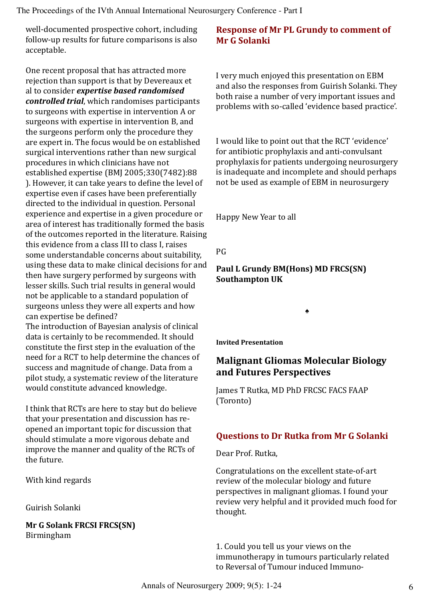well-documented prospective cohort, including follow-up results for future comparisons is also acceptable.

One recent proposal that has attracted more rejection than support is that by Devereaux et al to consider *expertise based randomised controlled trial*, which randomises participants to surgeons with expertise in intervention A or surgeons with expertise in intervention B, and the surgeons perform only the procedure they are expert in. The focus would be on established surgical interventions rather than new surgical procedures in which clinicians have not established expertise (BMJ 2005;330(7482):88 ). However, it can take years to define the level of expertise even if cases have been preferentially directed to the individual in question. Personal experience and expertise in a given procedure or area of interest has traditionally formed the basis of the outcomes reported in the literature. Raising this evidence from a class III to class I, raises some understandable concerns about suitability, using these data to make clinical decisions for and then have surgery performed by surgeons with lesser skills. Such trial results in general would not be applicable to a standard population of surgeons unless they were all experts and how can expertise be defined?

The introduction of Bayesian analysis of clinical data is certainly to be recommended. It should constitute the first step in the evaluation of the need for a RCT to help determine the chances of success and magnitude of change. Data from a pilot study, a systematic review of the literature would constitute advanced knowledge.

I think that RCTs are here to stay but do believe that your presentation and discussion has reopened an important topic for discussion that should stimulate a more vigorous debate and improve the manner and quality of the RCTs of the future.

With kind regards

Guirish Solanki

**Mr G Solank FRCSI FRCS(SN)** Birmingham

# **Response of Mr PL Grundy to comment of Mr G Solanki**

I very much enjoyed this presentation on EBM and also the responses from Guirish Solanki. They both raise a number of very important issues and problems with so-called 'evidence based practice'.

I would like to point out that the RCT 'evidence' for antibiotic prophylaxis and anti-convulsant prophylaxis for patients undergoing neurosurgery is inadequate and incomplete and should perhaps not be used as example of EBM in neurosurgery

Happy New Year to all

PG

**Paul L Grundy BM(Hons) MD FRCS(SN) Southampton UK**

**Invited Presentation**

# **Malignant Gliomas Molecular Biology and Futures Perspectives**

♠

James T Rutka, MD PhD FRCSC FACS FAAP (Toronto)

# **Questions to Dr Rutka from Mr G Solanki**

Dear Prof. Rutka,

Congratulations on the excellent state-of-art review of the molecular biology and future perspectives in malignant gliomas. I found your review very helpful and it provided much food for thought.

1. Could you tell us your views on the immunotherapy in tumours particularly related to Reversal of Tumour induced Immuno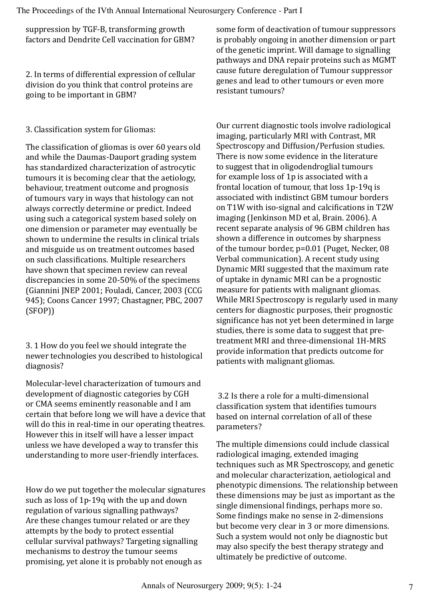suppression by TGF-B, transforming growth factors and Dendrite Cell vaccination for GBM?

2. In terms of differential expression of cellular division do you think that control proteins are going to be important in GBM?

### 3. Classification system for Gliomas:

The classification of gliomas is over 60 years old and while the Daumas-Dauport grading system has standardized characterization of astrocytic tumours it is becoming clear that the aetiology, behaviour, treatment outcome and prognosis of tumours vary in ways that histology can not always correctly determine or predict. Indeed using such a categorical system based solely on one dimension or parameter may eventually be shown to undermine the results in clinical trials and misguide us on treatment outcomes based on such classifications. Multiple researchers have shown that specimen review can reveal discrepancies in some 20-50% of the specimens (Giannini JNEP 2001; Fouladi, Cancer, 2003 (CCG 945); Coons Cancer 1997; Chastagner, PBC, 2007 (SFOP))

3. 1 How do you feel we should integrate the newer technologies you described to histological diagnosis?

Molecular-level characterization of tumours and development of diagnostic categories by CGH or CMA seems eminently reasonable and I am certain that before long we will have a device that will do this in real-time in our operating theatres. However this in itself will have a lesser impact unless we have developed a way to transfer this understanding to more user-friendly interfaces.

How do we put together the molecular signatures such as loss of 1p-19q with the up and down regulation of various signalling pathways? Are these changes tumour related or are they attempts by the body to protect essential cellular survival pathways? Targeting signalling mechanisms to destroy the tumour seems promising, yet alone it is probably not enough as

some form of deactivation of tumour suppressors is probably ongoing in another dimension or part of the genetic imprint. Will damage to signalling pathways and DNA repair proteins such as MGMT cause future deregulation of Tumour suppressor genes and lead to other tumours or even more resistant tumours?

Our current diagnostic tools involve radiological imaging, particularly MRI with Contrast, MR Spectroscopy and Diffusion/Perfusion studies. There is now some evidence in the literature to suggest that in oligodendroglial tumours for example loss of 1p is associated with a frontal location of tumour, that loss 1p-19q is associated with indistinct GBM tumour borders on T1W with iso-signal and calcifications in T2W imaging (Jenkinson MD et al, Brain. 2006). A recent separate analysis of 96 GBM children has shown a difference in outcomes by sharpness of the tumour border, p=0.01 (Puget, Necker, 08 Verbal communication). A recent study using Dynamic MRI suggested that the maximum rate of uptake in dynamic MRI can be a prognostic measure for patients with malignant gliomas. While MRI Spectroscopy is regularly used in many centers for diagnostic purposes, their prognostic significance has not yet been determined in large studies, there is some data to suggest that pretreatment MRI and three-dimensional 1H-MRS provide information that predicts outcome for patients with malignant gliomas.

 3.2 Is there a role for a multi-dimensional classification system that identifies tumours based on internal correlation of all of these parameters?

The multiple dimensions could include classical radiological imaging, extended imaging techniques such as MR Spectroscopy, and genetic and molecular characterization, aetiological and phenotypic dimensions. The relationship between these dimensions may be just as important as the single dimensional findings, perhaps more so. Some findings make no sense in 2-dimensions but become very clear in 3 or more dimensions. Such a system would not only be diagnostic but may also specify the best therapy strategy and ultimately be predictive of outcome.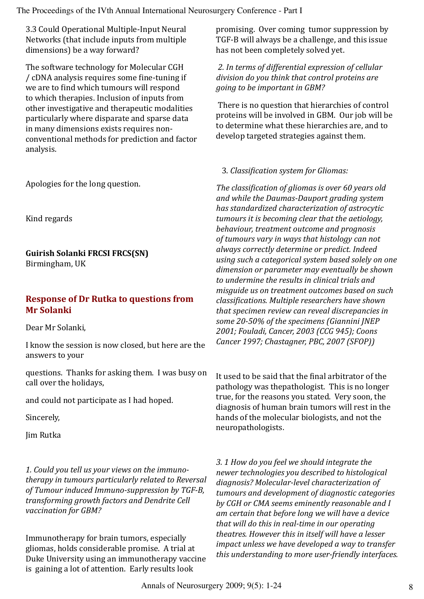3.3 Could Operational Multiple-Input Neural Networks (that include inputs from multiple dimensions) be a way forward?

The software technology for Molecular CGH / cDNA analysis requires some fine-tuning if we are to find which tumours will respond to which therapies. Inclusion of inputs from other investigative and therapeutic modalities particularly where disparate and sparse data in many dimensions exists requires nonconventional methods for prediction and factor analysis.

Apologies for the long question.

Kind regards

**Guirish Solanki FRCSI FRCS(SN)** Birmingham, UK

### **Response of Dr Rutka to questions from Mr Solanki**

Dear Mr Solanki,

I know the session is now closed, but here are the answers to your

questions. Thanks for asking them. I was busy on call over the holidays,

and could not participate as I had hoped.

Sincerely,

Jim Rutka

*1. Could you tell us your views on the immunotherapy in tumours particularly related to Reversal of Tumour induced Immuno-suppression by TGF-B, transforming growth factors and Dendrite Cell vaccination for GBM?*

Immunotherapy for brain tumors, especially gliomas, holds considerable promise. A trial at Duke University using an immunotherapy vaccine is gaining a lot of attention. Early results look

promising. Over coming tumor suppression by TGF-B will always be a challenge, and this issue has not been completely solved yet.

*2. In terms of differential expression of cellular division do you think that control proteins are going to be important in GBM?*

 There is no question that hierarchies of control proteins will be involved in GBM. Our job will be to determine what these hierarchies are, and to develop targeted strategies against them.

3. *Classification system for Gliomas:*

*The classification of gliomas is over 60 years old and while the Daumas-Dauport grading system has standardized characterization of astrocytic tumours it is becoming clear that the aetiology, behaviour, treatment outcome and prognosis of tumours vary in ways that histology can not always correctly determine or predict. Indeed using such a categorical system based solely on one dimension or parameter may eventually be shown to undermine the results in clinical trials and misguide us on treatment outcomes based on such classifications. Multiple researchers have shown that specimen review can reveal discrepancies in some 20-50% of the specimens (Giannini JNEP 2001; Fouladi, Cancer, 2003 (CCG 945); Coons Cancer 1997; Chastagner, PBC, 2007 (SFOP))*

It used to be said that the final arbitrator of the pathology was thepathologist. This is no longer true, for the reasons you stated. Very soon, the diagnosis of human brain tumors will rest in the hands of the molecular biologists, and not the neuropathologists.

*3. 1 How do you feel we should integrate the newer technologies you described to histological diagnosis? Molecular-level characterization of tumours and development of diagnostic categories by CGH or CMA seems eminently reasonable and I am certain that before long we will have a device that will do this in real-time in our operating theatres. However this in itself will have a lesser impact unless we have developed a way to transfer this understanding to more user-friendly interfaces.*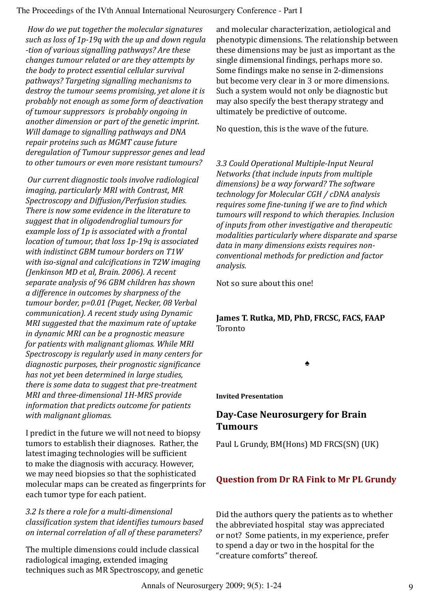*How do we put together the molecular signatures such as loss of 1p-19q with the up and down regula -tion of various signalling pathways? Are these changes tumour related or are they attempts by the body to protect essential cellular survival pathways? Targeting signalling mechanisms to destroy the tumour seems promising, yet alone it is probably not enough as some form of deactivation of tumour suppressors is probably ongoing in another dimension or part of the genetic imprint. Will damage to signalling pathways and DNA repair proteins such as MGMT cause future deregulation of Tumour suppressor genes and lead to other tumours or even more resistant tumours?*

 *Our current diagnostic tools involve radiological imaging, particularly MRI with Contrast, MR Spectroscopy and Diffusion/Perfusion studies. There is now some evidence in the literature to suggest that in oligodendroglial tumours for example loss of 1p is associated with a frontal location of tumour, that loss 1p-19q is associated with indistinct GBM tumour borders on T1W with iso-signal and calcifications in T2W imaging (Jenkinson MD et al, Brain. 2006). A recent separate analysis of 96 GBM children has shown a difference in outcomes by sharpness of the tumour border, p=0.01 (Puget, Necker, 08 Verbal communication). A recent study using Dynamic MRI suggested that the maximum rate of uptake in dynamic MRI can be a prognostic measure for patients with malignant gliomas. While MRI Spectroscopy is regularly used in many centers for diagnostic purposes, their prognostic significance has not yet been determined in large studies, there is some data to suggest that pre-treatment MRI and three-dimensional 1H-MRS provide information that predicts outcome for patients with malignant gliomas.*

I predict in the future we will not need to biopsy tumors to establish their diagnoses. Rather, the latest imaging technologies will be sufficient to make the diagnosis with accuracy. However, we may need biopsies so that the sophisticated molecular maps can be created as fingerprints for each tumor type for each patient.

*3.2 Is there a role for a multi-dimensional classification system that identifies tumours based on internal correlation of all of these parameters?*

The multiple dimensions could include classical radiological imaging, extended imaging techniques such as MR Spectroscopy, and genetic and molecular characterization, aetiological and phenotypic dimensions. The relationship between these dimensions may be just as important as the single dimensional findings, perhaps more so. Some findings make no sense in 2-dimensions but become very clear in 3 or more dimensions. Such a system would not only be diagnostic but may also specify the best therapy strategy and ultimately be predictive of outcome.

No question, this is the wave of the future.

*3.3 Could Operational Multiple-Input Neural Networks (that include inputs from multiple dimensions) be a way forward? The software technology for Molecular CGH / cDNA analysis requires some fine-tuning if we are to find which tumours will respond to which therapies. Inclusion of inputs from other investigative and therapeutic modalities particularly where disparate and sparse data in many dimensions exists requires nonconventional methods for prediction and factor analysis.*

Not so sure about this one!

**James T. Rutka, MD, PhD, FRCSC, FACS, FAAP** Toronto

♠

**Invited Presentation**

# **Day-Case Neurosurgery for Brain Tumours**

Paul L Grundy, BM(Hons) MD FRCS(SN) (UK)

# **Question from Dr RA Fink to Mr PL Grundy**

Did the authors query the patients as to whether the abbreviated hospital stay was appreciated or not? Some patients, in my experience, prefer to spend a day or two in the hospital for the "creature comforts" thereof.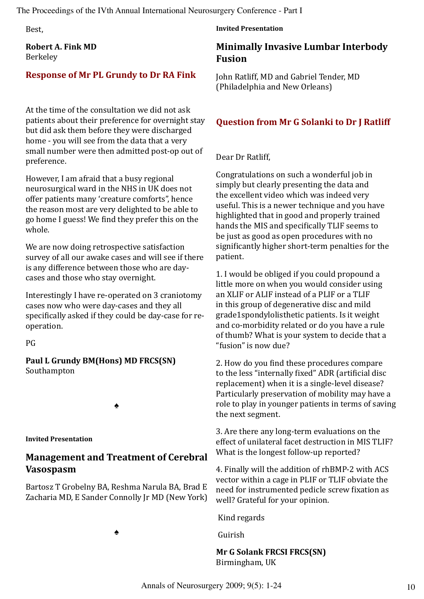Best,

**Robert A. Fink MD** Berkeley

# **Response of Mr PL Grundy to Dr RA Fink**

At the time of the consultation we did not ask patients about their preference for overnight stay but did ask them before they were discharged home - you will see from the data that a very small number were then admitted post-op out of preference.

However, I am afraid that a busy regional neurosurgical ward in the NHS in UK does not offer patients many 'creature comforts", hence the reason most are very delighted to be able to go home I guess! We find they prefer this on the whole.

We are now doing retrospective satisfaction survey of all our awake cases and will see if there is any difference between those who are daycases and those who stay overnight.

Interestingly I have re-operated on 3 craniotomy cases now who were day-cases and they all specifically asked if they could be day-case for reoperation.

PG

**Paul L Grundy BM(Hons) MD FRCS(SN)** Southampton

♠

**Invited Presentation**

# **Management and Treatment of Cerebral Vasospasm**

Bartosz T Grobelny BA, Reshma Narula BA, Brad E Zacharia MD, E Sander Connolly Jr MD (New York)

♠

**Invited Presentation**

# **Minimally Invasive Lumbar Interbody Fusion**

John Ratliff, MD and Gabriel Tender, MD (Philadelphia and New Orleans)

# **Question from Mr G Solanki to Dr J Ratliff**

Dear Dr Ratliff,

Congratulations on such a wonderful job in simply but clearly presenting the data and the excellent video which was indeed very useful. This is a newer technique and you have highlighted that in good and properly trained hands the MIS and specifically TLIF seems to be just as good as open procedures with no significantly higher short-term penalties for the patient.

1. I would be obliged if you could propound a little more on when you would consider using an XLIF or ALIF instead of a PLIF or a TLIF in this group of degenerative disc and mild grade1spondylolisthetic patients. Is it weight and co-morbidity related or do you have a rule of thumb? What is your system to decide that a "fusion" is now due?

2. How do you find these procedures compare to the less "internally fixed" ADR (artificial disc replacement) when it is a single-level disease? Particularly preservation of mobility may have a role to play in younger patients in terms of saving the next segment.

3. Are there any long-term evaluations on the effect of unilateral facet destruction in MIS TLIF? What is the longest follow-up reported?

4. Finally will the addition of rhBMP-2 with ACS vector within a cage in PLIF or TLIF obviate the need for instrumented pedicle screw fixation as well? Grateful for your opinion.

Kind regards

Guirish

### **Mr G Solank FRCSI FRCS(SN)** Birmingham, UK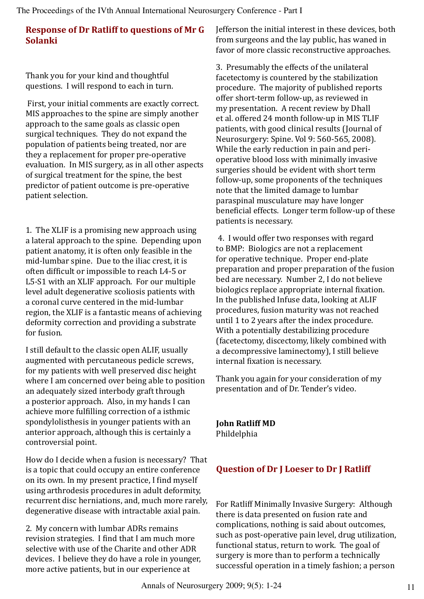# **Response of Dr Ratliff to questions of Mr G Solanki**

Thank you for your kind and thoughtful questions. I will respond to each in turn.

 First, your initial comments are exactly correct. MIS approaches to the spine are simply another approach to the same goals as classic open surgical techniques. They do not expand the population of patients being treated, nor are they a replacement for proper pre-operative evaluation. In MIS surgery, as in all other aspects of surgical treatment for the spine, the best predictor of patient outcome is pre-operative patient selection.

1. The XLIF is a promising new approach using a lateral approach to the spine. Depending upon patient anatomy, it is often only feasible in the mid-lumbar spine. Due to the iliac crest, it is often difficult or impossible to reach L4-5 or L5-S1 with an XLIF approach. For our multiple level adult degenerative scoliosis patients with a coronal curve centered in the mid-lumbar region, the XLIF is a fantastic means of achieving deformity correction and providing a substrate for fusion.

I still default to the classic open ALIF, usually augmented with percutaneous pedicle screws, for my patients with well preserved disc height where I am concerned over being able to position an adequately sized interbody graft through a posterior approach. Also, in my hands I can achieve more fulfilling correction of a isthmic spondylolisthesis in younger patients with an anterior approach, although this is certainly a controversial point.

How do I decide when a fusion is necessary? That is a topic that could occupy an entire conference on its own. In my present practice, I find myself using arthrodesis procedures in adult deformity, recurrent disc herniations, and, much more rarely, degenerative disease with intractable axial pain.

2. My concern with lumbar ADRs remains revision strategies. I find that I am much more selective with use of the Charite and other ADR devices. I believe they do have a role in younger, more active patients, but in our experience at

Jefferson the initial interest in these devices, both from surgeons and the lay public, has waned in favor of more classic reconstructive approaches.

3. Presumably the effects of the unilateral facetectomy is countered by the stabilization procedure. The majority of published reports offer short-term follow-up, as reviewed in my presentation. A recent review by Dhall et al. offered 24 month follow-up in MIS TLIF patients, with good clinical results (Journal of Neurosurgery: Spine. Vol 9: 560-565, 2008). While the early reduction in pain and perioperative blood loss with minimally invasive surgeries should be evident with short term follow-up, some proponents of the techniques note that the limited damage to lumbar paraspinal musculature may have longer beneficial effects. Longer term follow-up of these patients is necessary.

 4. I would offer two responses with regard to BMP: Biologics are not a replacement for operative technique. Proper end-plate preparation and proper preparation of the fusion bed are necessary. Number 2, I do not believe biologics replace appropriate internal fixation. In the published Infuse data, looking at ALIF procedures, fusion maturity was not reached until 1 to 2 years after the index procedure. With a potentially destabilizing procedure (facetectomy, discectomy, likely combined with a decompressive laminectomy), I still believe internal fixation is necessary.

Thank you again for your consideration of my presentation and of Dr. Tender's video.

**John Ratliff MD** Phildelphia

# **Question of Dr J Loeser to Dr J Ratliff**

For Ratliff Minimally Invasive Surgery: Although there is data presented on fusion rate and complications, nothing is said about outcomes, such as post-operative pain level, drug utilization, functional status, return to work. The goal of surgery is more than to perform a technically successful operation in a timely fashion; a person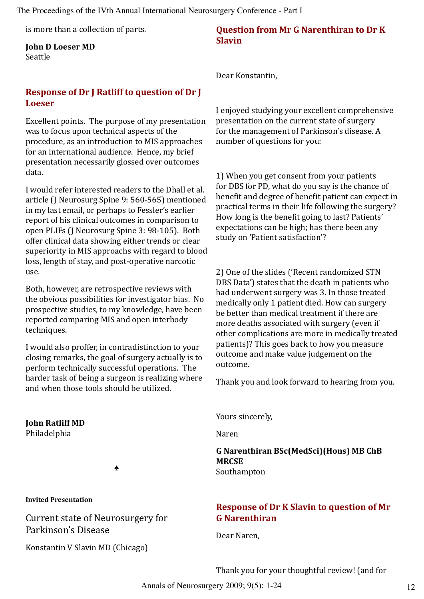is more than a collection of parts.

#### **John D Loeser MD** Seattle

# **Response of Dr J Ratliff to question of Dr J Loeser**

Excellent points. The purpose of my presentation was to focus upon technical aspects of the procedure, as an introduction to MIS approaches for an international audience. Hence, my brief presentation necessarily glossed over outcomes data.

I would refer interested readers to the Dhall et al. article (J Neurosurg Spine 9: 560-565) mentioned in my last email, or perhaps to Fessler's earlier report of his clinical outcomes in comparison to open PLIFs (J Neurosurg Spine 3: 98-105). Both offer clinical data showing either trends or clear superiority in MIS approachs with regard to blood loss, length of stay, and post-operative narcotic use.

Both, however, are retrospective reviews with the obvious possibilities for investigator bias. No prospective studies, to my knowledge, have been reported comparing MIS and open interbody techniques.

I would also proffer, in contradistinction to your closing remarks, the goal of surgery actually is to perform technically successful operations. The harder task of being a surgeon is realizing where and when those tools should be utilized.

### **John Ratliff MD**

Philadelphia

♠

#### **Invited Presentation**

Current state of Neurosurgery for Parkinson's Disease

Konstantin V Slavin MD (Chicago)

### **Question from Mr G Narenthiran to Dr K Slavin**

Dear Konstantin,

I enjoyed studying your excellent comprehensive presentation on the current state of surgery for the management of Parkinson's disease. A number of questions for you:

1) When you get consent from your patients for DBS for PD, what do you say is the chance of benefit and degree of benefit patient can expect in practical terms in their life following the surgery? How long is the benefit going to last? Patients' expectations can be high; has there been any study on 'Patient satisfaction'?

2) One of the slides ('Recent randomized STN DBS Data') states that the death in patients who had underwent surgery was 3. In those treated medically only 1 patient died. How can surgery be better than medical treatment if there are more deaths associated with surgery (even if other complications are more in medically treated patients)? This goes back to how you measure outcome and make value judgement on the outcome.

Thank you and look forward to hearing from you.

Yours sincerely,

Naren

**G Narenthiran BSc(MedSci)(Hons) MB ChB MRCSE** Southampton

# **Response of Dr K Slavin to question of Mr G Narenthiran**

Dear Naren,

Thank you for your thoughtful review! (and for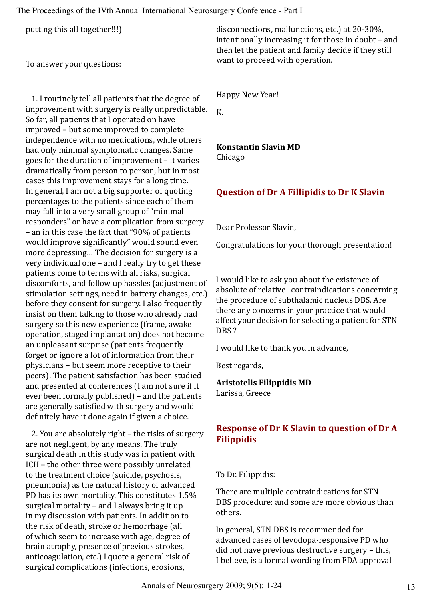putting this all together!!!)

To answer your questions:

 1. I routinely tell all patients that the degree of improvement with surgery is really unpredictable. So far, all patients that I operated on have improved – but some improved to complete independence with no medications, while others had only minimal symptomatic changes. Same goes for the duration of improvement – it varies dramatically from person to person, but in most cases this improvement stays for a long time. In general, I am not a big supporter of quoting percentages to the patients since each of them may fall into a very small group of "minimal responders" or have a complication from surgery – an in this case the fact that "90% of patients would improve significantly" would sound even more depressing… The decision for surgery is a very individual one – and I really try to get these patients come to terms with all risks, surgical discomforts, and follow up hassles (adjustment of stimulation settings, need in battery changes, etc.) before they consent for surgery. I also frequently insist on them talking to those who already had surgery so this new experience (frame, awake operation, staged implantation) does not become an unpleasant surprise (patients frequently forget or ignore a lot of information from their physicians – but seem more receptive to their peers). The patient satisfaction has been studied and presented at conferences (I am not sure if it ever been formally published) – and the patients are generally satisfied with surgery and would definitely have it done again if given a choice.

 2. You are absolutely right – the risks of surgery are not negligent, by any means. The truly surgical death in this study was in patient with ICH – the other three were possibly unrelated to the treatment choice (suicide, psychosis, pneumonia) as the natural history of advanced PD has its own mortality. This constitutes 1.5% surgical mortality – and I always bring it up in my discussion with patients. In addition to the risk of death, stroke or hemorrhage (all of which seem to increase with age, degree of brain atrophy, presence of previous strokes, anticoagulation, etc.) I quote a general risk of surgical complications (infections, erosions,

disconnections, malfunctions, etc.) at 20-30%, intentionally increasing it for those in doubt – and then let the patient and family decide if they still want to proceed with operation.

Happy New Year!

K.

# **Konstantin Slavin MD**

Chicago

# **Question of Dr A Fillipidis to Dr K Slavin**

Dear Professor Slavin,

Congratulations for your thorough presentation!

I would like to ask you about the existence of absolute of relative contraindications concerning the procedure of subthalamic nucleus DBS. Are there any concerns in your practice that would affect your decision for selecting a patient for STN DBS?

I would like to thank you in advance,

Best regards,

#### **Aristotelis Filippidis MD**

Larissa, Greece

# **Response of Dr K Slavin to question of Dr A Filippidis**

To Dr. Filippidis:

There are multiple contraindications for STN DBS procedure: and some are more obvious than others.

In general, STN DBS is recommended for advanced cases of levodopa-responsive PD who did not have previous destructive surgery – this, I believe, is a formal wording from FDA approval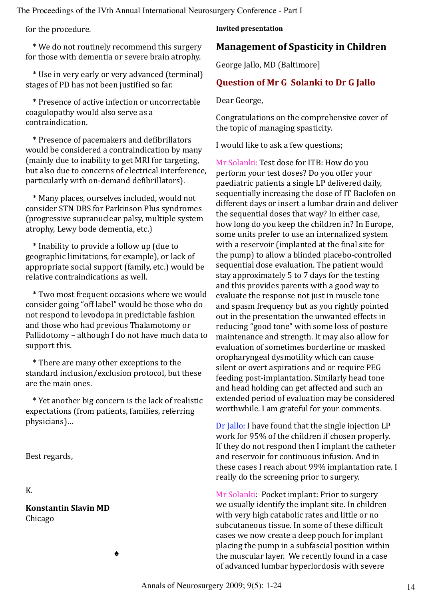for the procedure.

 \* We do not routinely recommend this surgery for those with dementia or severe brain atrophy.

 \* Use in very early or very advanced (terminal) stages of PD has not been justified so far.

 \* Presence of active infection or uncorrectable coagulopathy would also serve as a contraindication.

 \* Presence of pacemakers and defibrillators would be considered a contraindication by many (mainly due to inability to get MRI for targeting, but also due to concerns of electrical interference, particularly with on-demand defibrillators).

 \* Many places, ourselves included, would not consider STN DBS for Parkinson Plus syndromes (progressive supranuclear palsy, multiple system atrophy, Lewy bode dementia, etc.)

 \* Inability to provide a follow up (due to geographic limitations, for example), or lack of appropriate social support (family, etc.) would be relative contraindications as well.

 \* Two most frequent occasions where we would consider going "off label" would be those who do not respond to levodopa in predictable fashion and those who had previous Thalamotomy or Pallidotomy – although I do not have much data to support this.

 \* There are many other exceptions to the standard inclusion/exclusion protocol, but these are the main ones.

 \* Yet another big concern is the lack of realistic expectations (from patients, families, referring physicians)…

♠

Best regards,

K.

**Konstantin Slavin MD** Chicago

**Invited presentation**

### **Management of Spasticity in Children**

George Jallo, MD (Baltimore]

#### **Question of Mr G Solanki to Dr G Jallo**

Dear George,

Congratulations on the comprehensive cover of the topic of managing spasticity.

I would like to ask a few questions;

Mr Solanki: Test dose for ITB: How do you perform your test doses? Do you offer your paediatric patients a single LP delivered daily, sequentially increasing the dose of IT Baclofen on different days or insert a lumbar drain and deliver the sequential doses that way? In either case, how long do you keep the children in? In Europe, some units prefer to use an internalized system with a reservoir (implanted at the final site for the pump) to allow a blinded placebo-controlled sequential dose evaluation. The patient would stay approximately 5 to 7 days for the testing and this provides parents with a good way to evaluate the response not just in muscle tone and spasm frequency but as you rightly pointed out in the presentation the unwanted effects in reducing "good tone" with some loss of posture maintenance and strength. It may also allow for evaluation of sometimes borderline or masked oropharyngeal dysmotility which can cause silent or overt aspirations and or require PEG feeding post-implantation. Similarly head tone and head holding can get affected and such an extended period of evaluation may be considered worthwhile. I am grateful for your comments.

Dr Jallo: I have found that the single injection LP work for 95% of the children if chosen properly. If they do not respond then I implant the catheter and reservoir for continuous infusion. And in these cases I reach about 99% implantation rate. I really do the screening prior to surgery.

Mr Solanki: Pocket implant: Prior to surgery we usually identify the implant site. In children with very high catabolic rates and little or no subcutaneous tissue. In some of these difficult cases we now create a deep pouch for implant placing the pump in a subfascial position within the muscular layer. We recently found in a case of advanced lumbar hyperlordosis with severe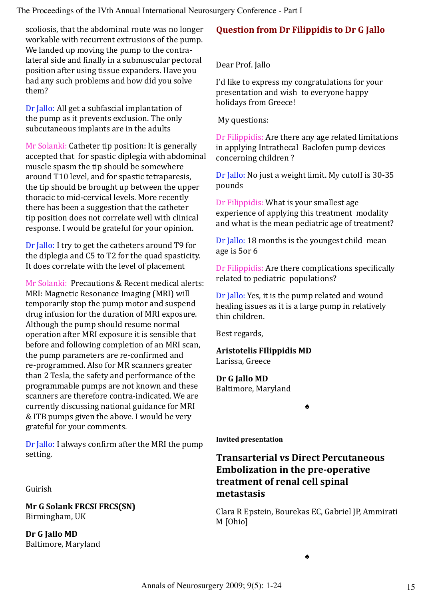scoliosis, that the abdominal route was no longer workable with recurrent extrusions of the pump. We landed up moving the pump to the contralateral side and finally in a submuscular pectoral position after using tissue expanders. Have you had any such problems and how did you solve them?

Dr Jallo: All get a subfascial implantation of the pump as it prevents exclusion. The only subcutaneous implants are in the adults

Mr Solanki: Catheter tip position: It is generally accepted that for spastic diplegia with abdominal muscle spasm the tip should be somewhere around T10 level, and for spastic tetraparesis, the tip should be brought up between the upper thoracic to mid-cervical levels. More recently there has been a suggestion that the catheter tip position does not correlate well with clinical response. I would be grateful for your opinion.

Dr Jallo: I try to get the catheters around T9 for the diplegia and C5 to T2 for the quad spasticity. It does correlate with the level of placement

Mr Solanki: Precautions & Recent medical alerts: MRI: Magnetic Resonance Imaging (MRI) will temporarily stop the pump motor and suspend drug infusion for the duration of MRI exposure. Although the pump should resume normal operation after MRI exposure it is sensible that before and following completion of an MRI scan, the pump parameters are re-confirmed and re-programmed. Also for MR scanners greater than 2 Tesla, the safety and performance of the programmable pumps are not known and these scanners are therefore contra-indicated. We are currently discussing national guidance for MRI & ITB pumps given the above. I would be very grateful for your comments.

Dr Jallo: I always confirm after the MRI the pump setting.

Guirish

**Mr G Solank FRCSI FRCS(SN)** Birmingham, UK

**Dr G Jallo MD** Baltimore, Maryland

# **Question from Dr Filippidis to Dr G Jallo**

Dear Prof. Jallo

I'd like to express my congratulations for your presentation and wish to everyone happy holidays from Greece!

My questions:

Dr Filippidis: Are there any age related limitations in applying Intrathecal Baclofen pump devices concerning children ?

Dr Jallo: No just a weight limit. My cutoff is 30-35 pounds

Dr Filippidis: What is your smallest age experience of applying this treatment modality and what is the mean pediatric age of treatment?

Dr Jallo: 18 months is the youngest child mean age is 5or 6

Dr Filippidis: Are there complications specifically related to pediatric populations?

Dr Jallo: Yes, it is the pump related and wound healing issues as it is a large pump in relatively thin children.

Best regards,

**Aristotelis FIlippidis MD** Larissa, Greece

**Dr G Jallo MD** Baltimore, Maryland

♠

**Invited presentation**

# **Transarterial vs Direct Percutaneous Embolization in the pre-operative treatment of renal cell spinal metastasis**

Clara R Epstein, Bourekas EC, Gabriel JP, Ammirati M [Ohio]

♠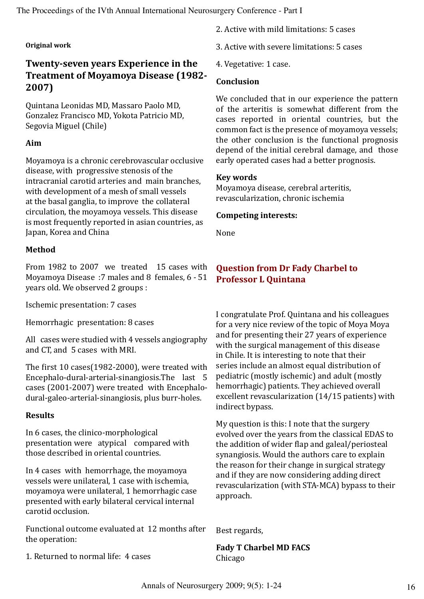#### **Original work**

# **Twenty-seven years Experience in the Treatment of Moyamoya Disease (1982- 2007)**

Quintana Leonidas MD, Massaro Paolo MD, Gonzalez Francisco MD, Yokota Patricio MD, Segovia Miguel (Chile)

#### **Aim**

Moyamoya is a chronic cerebrovascular occlusive disease, with progressive stenosis of the intracranial carotid arteries and main branches, with development of a mesh of small vessels at the basal ganglia, to improve the collateral circulation, the moyamoya vessels. This disease is most frequently reported in asian countries, as Japan, Korea and China

#### **Method**

From 1982 to 2007 we treated 15 cases with Moyamoya Disease :7 males and 8 females, 6 - 51 years old. We observed 2 groups :

Ischemic presentation: 7 cases

Hemorrhagic presentation: 8 cases

All cases were studied with 4 vessels angiography and CT, and 5 cases with MRI.

The first 10 cases(1982-2000), were treated with Encephalo-dural-arterial-sinangiosis.The last 5 cases (2001-2007) were treated with Encephalodural-galeo-arterial-sinangiosis, plus burr-holes.

#### **Results**

In 6 cases, the clinico-morphological presentation were atypical compared with those described in oriental countries.

In 4 cases with hemorrhage, the moyamoya vessels were unilateral, 1 case with ischemia, moyamoya were unilateral, 1 hemorrhagic case presented with early bilateral cervical internal carotid occlusion.

Functional outcome evaluated at 12 months after the operation:

1. Returned to normal life: 4 cases

2. Active with mild limitations: 5 cases

- 3. Active with severe limitations: 5 cases
- 4. Vegetative: 1 case.

#### **Conclusion**

We concluded that in our experience the pattern of the arteritis is somewhat different from the cases reported in oriental countries, but the common fact is the presence of moyamoya vessels; the other conclusion is the functional prognosis depend of the initial cerebral damage, and those early operated cases had a better prognosis.

#### **Key words**

Moyamoya disease, cerebral arteritis, revascularization, chronic ischemia

#### **Competing interests:**

None

### **Question from Dr Fady Charbel to Professor L Quintana**

I congratulate Prof. Quintana and his colleagues for a very nice review of the topic of Moya Moya and for presenting their 27 years of experience with the surgical management of this disease in Chile. It is interesting to note that their series include an almost equal distribution of pediatric (mostly ischemic) and adult (mostly hemorrhagic) patients. They achieved overall excellent revascularization (14/15 patients) with indirect bypass.

My question is this: I note that the surgery evolved over the years from the classical EDAS to the addition of wider flap and galeal/periosteal synangiosis. Would the authors care to explain the reason for their change in surgical strategy and if they are now considering adding direct revascularization (with STA-MCA) bypass to their approach.

Best regards,

**Fady T Charbel MD FACS** Chicago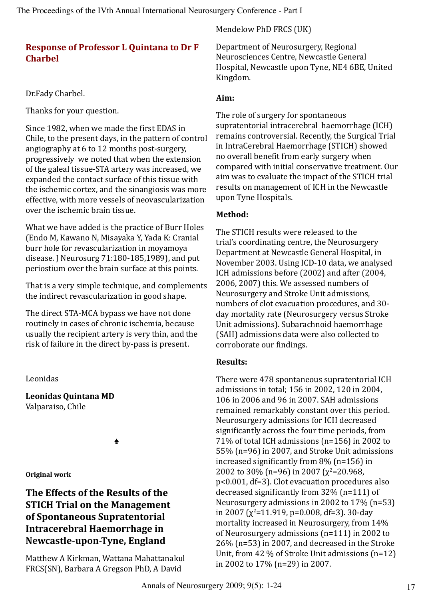# **Response of Professor L Quintana to Dr F Charbel**

### Dr.Fady Charbel.

Thanks for your question.

Since 1982, when we made the first EDAS in Chile, to the present days, in the pattern of control angiography at 6 to 12 months post-surgery, progressively we noted that when the extension of the galeal tissue-STA artery was increased, we expanded the contact surface of this tissue with the ischemic cortex, and the sinangiosis was more effective, with more vessels of neovascularization over the ischemic brain tissue.

What we have added is the practice of Burr Holes (Endo M, Kawano N, Misayaka Y, Yada K: Cranial burr hole for revascularization in moyamoya disease. J Neurosurg 71:180-185,1989), and put periostium over the brain surface at this points.

That is a very simple technique, and complements the indirect revascularization in good shape.

The direct STA-MCA bypass we have not done routinely in cases of chronic ischemia, because usually the recipient artery is very thin, and the risk of failure in the direct by-pass is present.

Leonidas

**Leonidas Quintana MD** Valparaiso, Chile

♠

**Original work**

# **The Effects of the Results of the STICH Trial on the Management of Spontaneous Supratentorial Intracerebral Haemorrhage in Newcastle-upon-Tyne, England**

Matthew A Kirkman, Wattana Mahattanakul FRCS(SN), Barbara A Gregson PhD, A David

Mendelow PhD FRCS (UK)

Department of Neurosurgery, Regional Neurosciences Centre, Newcastle General Hospital, Newcastle upon Tyne, NE4 6BE, United Kingdom.

### **Aim:**

The role of surgery for spontaneous supratentorial intracerebral haemorrhage (ICH) remains controversial. Recently, the Surgical Trial in IntraCerebral Haemorrhage (STICH) showed no overall benefit from early surgery when compared with initial conservative treatment. Our aim was to evaluate the impact of the STICH trial results on management of ICH in the Newcastle upon Tyne Hospitals.

### **Method:**

The STICH results were released to the trial's coordinating centre, the Neurosurgery Department at Newcastle General Hospital, in November 2003. Using ICD-10 data, we analysed ICH admissions before (2002) and after (2004, 2006, 2007) this. We assessed numbers of Neurosurgery and Stroke Unit admissions, numbers of clot evacuation procedures, and 30 day mortality rate (Neurosurgery versus Stroke Unit admissions). Subarachnoid haemorrhage (SAH) admissions data were also collected to corroborate our findings.

# **Results:**

There were 478 spontaneous supratentorial ICH admissions in total; 156 in 2002, 120 in 2004, 106 in 2006 and 96 in 2007. SAH admissions remained remarkably constant over this period. Neurosurgery admissions for ICH decreased significantly across the four time periods, from 71% of total ICH admissions (n=156) in 2002 to 55% (n=96) in 2007, and Stroke Unit admissions increased significantly from 8% (n=156) in 2002 to 30% (n=96) in 2007 ( $\chi^2$ =20.968, p<0.001, df=3). Clot evacuation procedures also decreased significantly from 32% (n=111) of Neurosurgery admissions in 2002 to 17% (n=53) in 2007 (χ<sup>2</sup>=11.919, p=0.008, df=3). 30-day mortality increased in Neurosurgery, from 14% of Neurosurgery admissions (n=111) in 2002 to 26% (n=53) in 2007, and decreased in the Stroke Unit, from 42 % of Stroke Unit admissions (n=12) in 2002 to 17% (n=29) in 2007.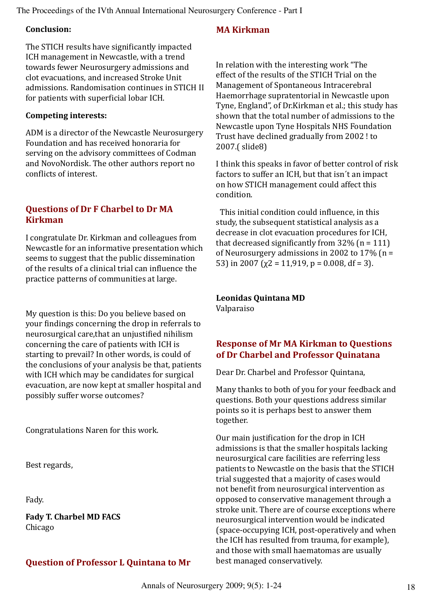#### **Conclusion:**

The STICH results have significantly impacted ICH management in Newcastle, with a trend towards fewer Neurosurgery admissions and clot evacuations, and increased Stroke Unit admissions. Randomisation continues in STICH II for patients with superficial lobar ICH.

### **Competing interests:**

ADM is a director of the Newcastle Neurosurgery Foundation and has received honoraria for serving on the advisory committees of Codman and NovoNordisk. The other authors report no conflicts of interest.

# **Questions of Dr F Charbel to Dr MA Kirkman**

I congratulate Dr. Kirkman and colleagues from Newcastle for an informative presentation which seems to suggest that the public dissemination of the results of a clinical trial can influence the practice patterns of communities at large.

My question is this: Do you believe based on your findings concerning the drop in referrals to neurosurgical care,that an unjustified nihilism concerning the care of patients with ICH is starting to prevail? In other words, is could of the conclusions of your analysis be that, patients with ICH which may be candidates for surgical evacuation, are now kept at smaller hospital and possibly suffer worse outcomes?

Congratulations Naren for this work.

Best regards,

Fady.

**Fady T. Charbel MD FACS** Chicago

# **Question of Professor L Quintana to Mr**

### **MA Kirkman**

In relation with the interesting work "The effect of the results of the STICH Trial on the Management of Spontaneous Intracerebral Haemorrhage supratentorial in Newcastle upon Tyne, England", of Dr.Kirkman et al.; this study has shown that the total number of admissions to the Newcastle upon Tyne Hospitals NHS Foundation Trust have declined gradually from 2002 ! to 2007.( slide8)

I think this speaks in favor of better control of risk factors to suffer an ICH, but that isn´t an impact on how STICH management could affect this condition.

 This initial condition could influence, in this study, the subsequent statistical analysis as a decrease in clot evacuation procedures for ICH, that decreased significantly from  $32\%$  (n = 111) of Neurosurgery admissions in 2002 to  $17\%$  (n = 53) in 2007 ( $\chi$ 2 = 11,919, p = 0.008, df = 3).

**Leonidas Quintana MD** Valparaiso

# **Response of Mr MA Kirkman to Questions of Dr Charbel and Professor Quinatana**

Dear Dr. Charbel and Professor Quintana,

Many thanks to both of you for your feedback and questions. Both your questions address similar points so it is perhaps best to answer them together.

Our main justification for the drop in ICH admissions is that the smaller hospitals lacking neurosurgical care facilities are referring less patients to Newcastle on the basis that the STICH trial suggested that a majority of cases would not benefit from neurosurgical intervention as opposed to conservative management through a stroke unit. There are of course exceptions where neurosurgical intervention would be indicated (space-occupying ICH, post-operatively and when the ICH has resulted from trauma, for example), and those with small haematomas are usually best managed conservatively.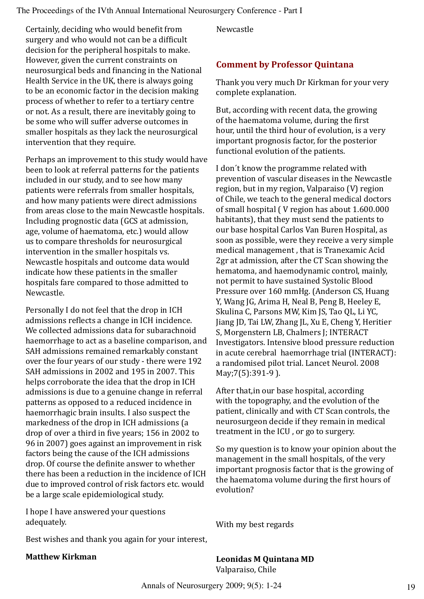Certainly, deciding who would benefit from surgery and who would not can be a difficult decision for the peripheral hospitals to make. However, given the current constraints on neurosurgical beds and financing in the National Health Service in the UK, there is always going to be an economic factor in the decision making process of whether to refer to a tertiary centre or not. As a result, there are inevitably going to be some who will suffer adverse outcomes in smaller hospitals as they lack the neurosurgical intervention that they require.

Perhaps an improvement to this study would have been to look at referral patterns for the patients included in our study, and to see how many patients were referrals from smaller hospitals, and how many patients were direct admissions from areas close to the main Newcastle hospitals. Including prognostic data (GCS at admission, age, volume of haematoma, etc.) would allow us to compare thresholds for neurosurgical intervention in the smaller hospitals vs. Newcastle hospitals and outcome data would indicate how these patients in the smaller hospitals fare compared to those admitted to Newcastle.

Personally I do not feel that the drop in ICH admissions reflects a change in ICH incidence. We collected admissions data for subarachnoid haemorrhage to act as a baseline comparison, and SAH admissions remained remarkably constant over the four years of our study - there were 192 SAH admissions in 2002 and 195 in 2007. This helps corroborate the idea that the drop in ICH admissions is due to a genuine change in referral patterns as opposed to a reduced incidence in haemorrhagic brain insults. I also suspect the markedness of the drop in ICH admissions (a drop of over a third in five years; 156 in 2002 to 96 in 2007) goes against an improvement in risk factors being the cause of the ICH admissions drop. Of course the definite answer to whether there has been a reduction in the incidence of ICH due to improved control of risk factors etc. would be a large scale epidemiological study.

I hope I have answered your questions adequately.

Newcastle

# **Comment by Professor Quintana**

Thank you very much Dr Kirkman for your very complete explanation.

But, according with recent data, the growing of the haematoma volume, during the first hour, until the third hour of evolution, is a very important prognosis factor, for the posterior functional evolution of the patients.

I don´t know the programme related with prevention of vascular diseases in the Newcastle region, but in my region, Valparaiso (V) region of Chile, we teach to the general medical doctors of small hospital ( V region has about 1.600.000 habitants), that they must send the patients to our base hospital Carlos Van Buren Hospital, as soon as possible, were they receive a very simple medical management , that is Tranexamic Acid 2gr at admission, after the CT Scan showing the hematoma, and haemodynamic control, mainly, not permit to have sustained Systolic Blood Pressure over 160 mmHg. (Anderson CS, Huang Y, Wang JG, Arima H, Neal B, Peng B, Heeley E, Skulina C, Parsons MW, Kim JS, Tao QL, Li YC, Jiang JD, Tai LW, Zhang JL, Xu E, Cheng Y, Heritier S, Morgenstern LB, Chalmers J; INTERACT Investigators. Intensive blood pressure reduction in acute cerebral haemorrhage trial (INTERACT): a randomised pilot trial. Lancet Neurol. 2008 May;7(5):391-9 ).

After that,in our base hospital, according with the topography, and the evolution of the patient, clinically and with CT Scan controls, the neurosurgeon decide if they remain in medical treatment in the ICU , or go to surgery.

So my question is to know your opinion about the management in the small hospitals, of the very important prognosis factor that is the growing of the haematoma volume during the first hours of evolution?

With my best regards

Best wishes and thank you again for your interest,

#### **Matthew Kirkman**

**Leonidas M Quintana MD** Valparaiso, Chile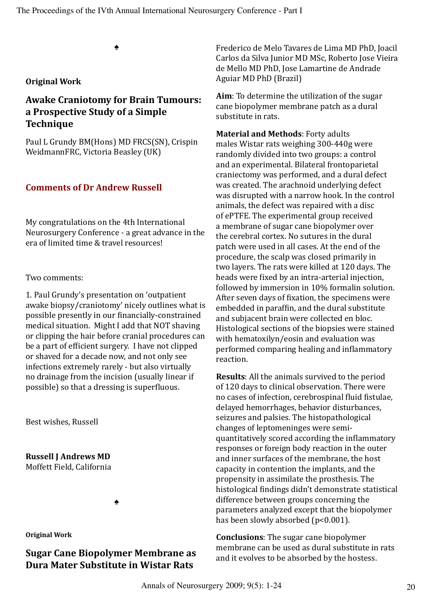♠

#### **Original Work**

# **Awake Craniotomy for Brain Tumours: a Prospective Study of a Simple Technique**

Paul L Grundy BM(Hons) MD FRCS(SN), Crispin WeidmannFRC, Victoria Beasley (UK)

#### **Comments of Dr Andrew Russell**

My congratulations on the 4th International Neurosurgery Conference - a great advance in the era of limited time & travel resources!

Two comments:

1. Paul Grundy's presentation on 'outpatient awake biopsy/craniotomy' nicely outlines what is possible presently in our financially-constrained medical situation. Might I add that NOT shaving or clipping the hair before cranial procedures can be a part of efficient surgery. I have not clipped or shaved for a decade now, and not only see infections extremely rarely - but also virtually no drainage from the incision (usually linear if possible) so that a dressing is superfluous.

Best wishes, Russell

**Russell J Andrews MD** Moffett Field, California

♠

**Original Work**

# **Sugar Cane Biopolymer Membrane as Dura Mater Substitute in Wistar Rats**

Frederico de Melo Tavares de Lima MD PhD, Joacil Carlos da Silva Junior MD MSc, Roberto Jose Vieira de Mello MD PhD, Jose Lamartine de Andrade Aguiar MD PhD (Brazil)

**Aim**: To determine the utilization of the sugar cane biopolymer membrane patch as a dural substitute in rats.

**Material and Methods**: Forty adults males Wistar rats weighing 300-440g were randomly divided into two groups: a control and an experimental. Bilateral frontoparietal craniectomy was performed, and a dural defect was created. The arachnoid underlying defect was disrupted with a narrow hook. In the control animals, the defect was repaired with a disc of ePTFE. The experimental group received a membrane of sugar cane biopolymer over the cerebral cortex. No sutures in the dural patch were used in all cases. At the end of the procedure, the scalp was closed primarily in two layers. The rats were killed at 120 days. The heads were fixed by an intra-arterial injection, followed by immersion in 10% formalin solution. After seven days of fixation, the specimens were embedded in paraffin, and the dural substitute and subjacent brain were collected en bloc. Histological sections of the biopsies were stained with hematoxilyn/eosin and evaluation was performed comparing healing and inflammatory reaction.

**Results**: All the animals survived to the period of 120 days to clinical observation. There were no cases of infection, cerebrospinal fluid fistulae, delayed hemorrhages, behavior disturbances, seizures and palsies. The histopathological changes of leptomeninges were semiquantitatively scored according the inflammatory responses or foreign body reaction in the outer and inner surfaces of the membrane, the host capacity in contention the implants, and the propensity in assimilate the prosthesis. The histological findings didn't demonstrate statistical difference between groups concerning the parameters analyzed except that the biopolymer has been slowly absorbed (p<0.001).

**Conclusions**: The sugar cane biopolymer membrane can be used as dural substitute in rats and it evolves to be absorbed by the hostess.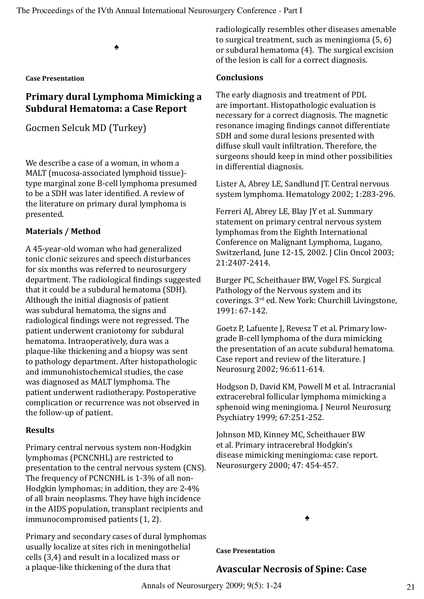♠

**Case Presentation**

# **Primary dural Lymphoma Mimicking a Subdural Hematoma: a Case Report**

Gocmen Selcuk MD (Turkey)

We describe a case of a woman, in whom a MALT (mucosa-associated lymphoid tissue) type marginal zone B-cell lymphoma presumed to be a SDH was later identified. A review of the literature on primary dural lymphoma is presented.

#### **Materials / Method**

A 45-year-old woman who had generalized tonic clonic seizures and speech disturbances for six months was referred to neurosurgery department. The radiological findings suggested that it could be a subdural hematoma (SDH). Although the initial diagnosis of patient was subdural hematoma, the signs and radiological findings were not regressed. The patient underwent craniotomy for subdural hematoma. Intraoperatively, dura was a plaque-like thickening and a biopsy was sent to pathology department. After histopathologic and immunohistochemical studies, the case was diagnosed as MALT lymphoma. The patient underwent radiotherapy. Postoperative complication or recurrence was not observed in the follow-up of patient.

#### **Results**

Primary central nervous system non-Hodgkin lymphomas (PCNCNHL) are restricted to presentation to the central nervous system (CNS). The frequency of PCNCNHL is 1-3% of all non-Hodgkin lymphomas; in addition, they are 2-4% of all brain neoplasms. They have high incidence in the AIDS population, transplant recipients and immunocompromised patients (1, 2).

Primary and secondary cases of dural lymphomas usually localize at sites rich in meningothelial cells (3,4) and result in a localized mass or a plaque-like thickening of the dura that

radiologically resembles other diseases amenable to surgical treatment, such as meningioma (5, 6) or subdural hematoma (4). The surgical excision of the lesion is call for a correct diagnosis.

#### **Conclusions**

The early diagnosis and treatment of PDL are important. Histopathologic evaluation is necessary for a correct diagnosis. The magnetic resonance imaging findings cannot differentiate SDH and some dural lesions presented with diffuse skull vault infiltration. Therefore, the surgeons should keep in mind other possibilities in differential diagnosis.

Lister A, Abrey LE, Sandlund JT. Central nervous system lymphoma. Hematology 2002; 1:283-296.

Ferreri AJ, Abrey LE, Blay JY et al. Summary statement on primary central nervous system lymphomas from the Eighth International Conference on Malignant Lymphoma, Lugano, Switzerland, June 12-15, 2002. J Clin Oncol 2003; 21:2407-2414.

Burger PC, Scheithauer BW, Vogel FS. Surgical Pathology of the Nervous system and its coverings. 3rd ed. New York: Churchill Livingstone, 1991: 67-142.

Goetz P, Lafuente J, Revesz T et al. Primary lowgrade B-cell lymphoma of the dura mimicking the presentation of an acute subdural hematoma. Case report and review of the literature. J Neurosurg 2002; 96:611-614.

Hodgson D, David KM, Powell M et al. Intracranial extracerebral follicular lymphoma mimicking a sphenoid wing meningioma. J Neurol Neurosurg Psychiatry 1999; 67:251-252.

Johnson MD, Kinney MC, Scheithauer BW et al. Primary intracerebral Hodgkin's disease mimicking meningioma: case report. Neurosurgery 2000; 47: 454-457.

♠

**Case Presentation**

# **Avascular Necrosis of Spine: Case**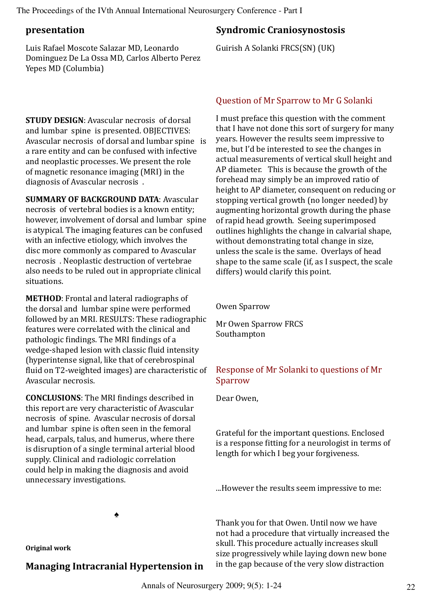#### **presentation**

Luis Rafael Moscote Salazar MD, Leonardo Dominguez De La Ossa MD, Carlos Alberto Perez Yepes MD (Columbia)

# **Syndromic Craniosynostosis**

Guirish A Solanki FRCS(SN) (UK)

**STUDY DESIGN**: Avascular necrosis of dorsal and lumbar spine is presented. OBJECTIVES: Avascular necrosis of dorsal and lumbar spine is a rare entity and can be confused with infective and neoplastic processes. We present the role of magnetic resonance imaging (MRI) in the diagnosis of Avascular necrosis .

**SUMMARY OF BACKGROUND DATA**: Avascular necrosis of vertebral bodies is a known entity; however, involvement of dorsal and lumbar spine is atypical. The imaging features can be confused with an infective etiology, which involves the disc more commonly as compared to Avascular necrosis . Neoplastic destruction of vertebrae also needs to be ruled out in appropriate clinical situations.

**METHOD**: Frontal and lateral radiographs of the dorsal and lumbar spine were performed followed by an MRI. RESULTS: These radiographic features were correlated with the clinical and pathologic findings. The MRI findings of a wedge-shaped lesion with classic fluid intensity (hyperintense signal, like that of cerebrospinal fluid on T2-weighted images) are characteristic of Avascular necrosis.

**CONCLUSIONS**: The MRI findings described in this report are very characteristic of Avascular necrosis of spine. Avascular necrosis of dorsal and lumbar spine is often seen in the femoral head, carpals, talus, and humerus, where there is disruption of a single terminal arterial blood supply. Clinical and radiologic correlation could help in making the diagnosis and avoid unnecessary investigations.

♠

**Original work**

# **Managing Intracranial Hypertension in**

### Question of Mr Sparrow to Mr G Solanki

I must preface this question with the comment that I have not done this sort of surgery for many years. However the results seem impressive to me, but I'd be interested to see the changes in actual measurements of vertical skull height and AP diameter. This is because the growth of the forehead may simply be an improved ratio of height to AP diameter, consequent on reducing or stopping vertical growth (no longer needed) by augmenting horizontal growth during the phase of rapid head growth. Seeing superimposed outlines highlights the change in calvarial shape, without demonstrating total change in size, unless the scale is the same. Overlays of head shape to the same scale (if, as I suspect, the scale differs) would clarify this point.

Owen Sparrow

Mr Owen Sparrow FRCS Southampton

# Response of Mr Solanki to questions of Mr Sparrow

Dear Owen,

Grateful for the important questions. Enclosed is a response fitting for a neurologist in terms of length for which I beg your forgiveness.

...However the results seem impressive to me:

Thank you for that Owen. Until now we have not had a procedure that virtually increased the skull. This procedure actually increases skull size progressively while laying down new bone in the gap because of the very slow distraction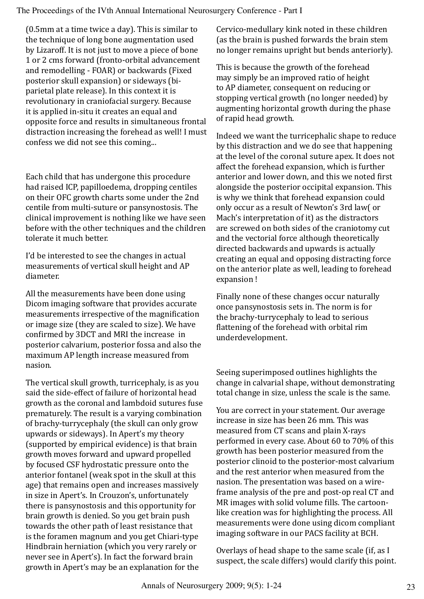(0.5mm at a time twice a day). This is similar to the technique of long bone augmentation used by Lizaroff. It is not just to move a piece of bone 1 or 2 cms forward (fronto-orbital advancement and remodelling - FOAR) or backwards (Fixed posterior skull expansion) or sideways (biparietal plate release). In this context it is revolutionary in craniofacial surgery. Because it is applied in-situ it creates an equal and opposite force and results in simultaneous frontal distraction increasing the forehead as well! I must confess we did not see this coming...

Each child that has undergone this procedure had raised ICP, papilloedema, dropping centiles on their OFC growth charts some under the 2nd centile from multi-suture or pansynostosis. The clinical improvement is nothing like we have seen before with the other techniques and the children tolerate it much better.

I'd be interested to see the changes in actual measurements of vertical skull height and AP diameter.

All the measurements have been done using Dicom imaging software that provides accurate measurements irrespective of the magnification or image size (they are scaled to size). We have confirmed by 3DCT and MRI the increase in posterior calvarium, posterior fossa and also the maximum AP length increase measured from nasion.

The vertical skull growth, turricephaly, is as you said the side-effect of failure of horizontal head growth as the coronal and lambdoid sutures fuse prematurely. The result is a varying combination of brachy-turrycephaly (the skull can only grow upwards or sideways). In Apert's my theory (supported by empirical evidence) is that brain growth moves forward and upward propelled by focused CSF hydrostatic pressure onto the anterior fontanel (weak spot in the skull at this age) that remains open and increases massively in size in Apert's. In Crouzon's, unfortunately there is pansynostosis and this opportunity for brain growth is denied. So you get brain push towards the other path of least resistance that is the foramen magnum and you get Chiari-type Hindbrain herniation (which you very rarely or never see in Apert's). In fact the forward brain growth in Apert's may be an explanation for the

Cervico-medullary kink noted in these children (as the brain is pushed forwards the brain stem no longer remains upright but bends anteriorly).

This is because the growth of the forehead may simply be an improved ratio of height to AP diameter, consequent on reducing or stopping vertical growth (no longer needed) by augmenting horizontal growth during the phase of rapid head growth.

Indeed we want the turricephalic shape to reduce by this distraction and we do see that happening at the level of the coronal suture apex. It does not affect the forehead expansion, which is further anterior and lower down, and this we noted first alongside the posterior occipital expansion. This is why we think that forehead expansion could only occur as a result of Newton's 3rd law( or Mach's interpretation of it) as the distractors are screwed on both sides of the craniotomy cut and the vectorial force although theoretically directed backwards and upwards is actually creating an equal and opposing distracting force on the anterior plate as well, leading to forehead expansion !

Finally none of these changes occur naturally once pansynostosis sets in. The norm is for the brachy-turrycephaly to lead to serious flattening of the forehead with orbital rim underdevelopment.

Seeing superimposed outlines highlights the change in calvarial shape, without demonstrating total change in size, unless the scale is the same.

You are correct in your statement. Our average increase in size has been 26 mm. This was measured from CT scans and plain X-rays performed in every case. About 60 to 70% of this growth has been posterior measured from the posterior clinoid to the posterior-most calvarium and the rest anterior when measured from the nasion. The presentation was based on a wireframe analysis of the pre and post-op real CT and MR images with solid volume fills. The cartoonlike creation was for highlighting the process. All measurements were done using dicom compliant imaging software in our PACS facility at BCH.

Overlays of head shape to the same scale (if, as I suspect, the scale differs) would clarify this point.